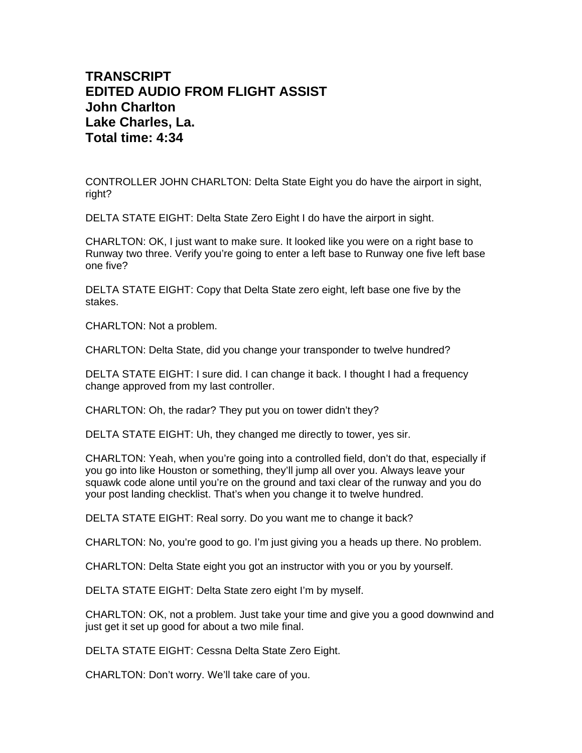## **TRANSCRIPT EDITED AUDIO FROM FLIGHT ASSIST John Charlton Lake Charles, La. Total time: 4:34**

CONTROLLER JOHN CHARLTON: Delta State Eight you do have the airport in sight, right?

DELTA STATE EIGHT: Delta State Zero Eight I do have the airport in sight.

CHARLTON: OK, I just want to make sure. It looked like you were on a right base to Runway two three. Verify you're going to enter a left base to Runway one five left base one five?

DELTA STATE EIGHT: Copy that Delta State zero eight, left base one five by the stakes.

CHARLTON: Not a problem.

CHARLTON: Delta State, did you change your transponder to twelve hundred?

DELTA STATE EIGHT: I sure did. I can change it back. I thought I had a frequency change approved from my last controller.

CHARLTON: Oh, the radar? They put you on tower didn't they?

DELTA STATE EIGHT: Uh, they changed me directly to tower, yes sir.

CHARLTON: Yeah, when you're going into a controlled field, don't do that, especially if you go into like Houston or something, they'll jump all over you. Always leave your squawk code alone until you're on the ground and taxi clear of the runway and you do your post landing checklist. That's when you change it to twelve hundred.

DELTA STATE EIGHT: Real sorry. Do you want me to change it back?

CHARLTON: No, you're good to go. I'm just giving you a heads up there. No problem.

CHARLTON: Delta State eight you got an instructor with you or you by yourself.

DELTA STATE EIGHT: Delta State zero eight I'm by myself.

CHARLTON: OK, not a problem. Just take your time and give you a good downwind and just get it set up good for about a two mile final.

DELTA STATE EIGHT: Cessna Delta State Zero Eight.

CHARLTON: Don't worry. We'll take care of you.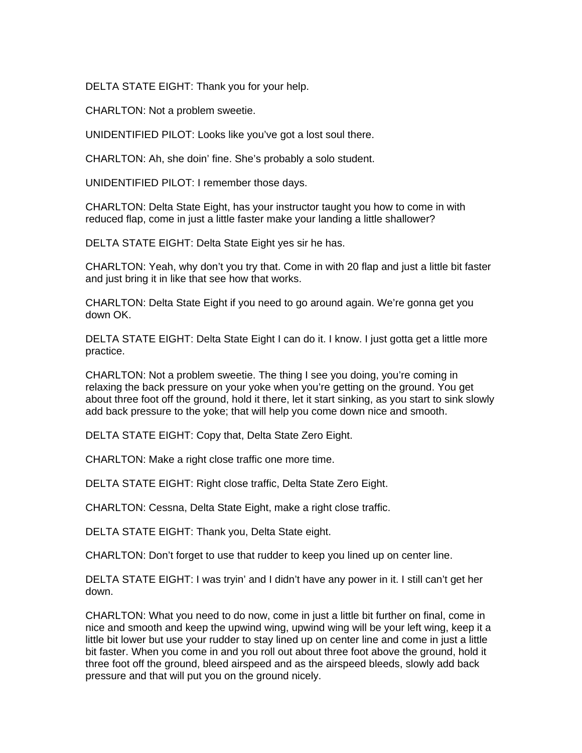DELTA STATE EIGHT: Thank you for your help.

CHARLTON: Not a problem sweetie.

UNIDENTIFIED PILOT: Looks like you've got a lost soul there.

CHARLTON: Ah, she doin' fine. She's probably a solo student.

UNIDENTIFIED PILOT: I remember those days.

CHARLTON: Delta State Eight, has your instructor taught you how to come in with reduced flap, come in just a little faster make your landing a little shallower?

DELTA STATE EIGHT: Delta State Eight yes sir he has.

CHARLTON: Yeah, why don't you try that. Come in with 20 flap and just a little bit faster and just bring it in like that see how that works.

CHARLTON: Delta State Eight if you need to go around again. We're gonna get you down OK.

DELTA STATE EIGHT: Delta State Eight I can do it. I know. I just gotta get a little more practice.

CHARLTON: Not a problem sweetie. The thing I see you doing, you're coming in relaxing the back pressure on your yoke when you're getting on the ground. You get about three foot off the ground, hold it there, let it start sinking, as you start to sink slowly add back pressure to the yoke; that will help you come down nice and smooth.

DELTA STATE EIGHT: Copy that, Delta State Zero Eight.

CHARLTON: Make a right close traffic one more time.

DELTA STATE EIGHT: Right close traffic, Delta State Zero Eight.

CHARLTON: Cessna, Delta State Eight, make a right close traffic.

DELTA STATE EIGHT: Thank you, Delta State eight.

CHARLTON: Don't forget to use that rudder to keep you lined up on center line.

DELTA STATE EIGHT: I was tryin' and I didn't have any power in it. I still can't get her down.

CHARLTON: What you need to do now, come in just a little bit further on final, come in nice and smooth and keep the upwind wing, upwind wing will be your left wing, keep it a little bit lower but use your rudder to stay lined up on center line and come in just a little bit faster. When you come in and you roll out about three foot above the ground, hold it three foot off the ground, bleed airspeed and as the airspeed bleeds, slowly add back pressure and that will put you on the ground nicely.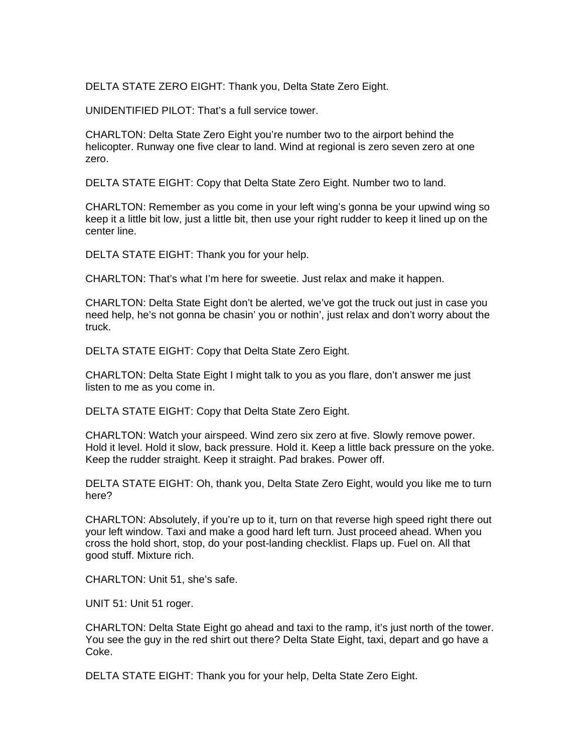DELTA STATE ZERO EIGHT: Thank you, Delta State Zero Eight.

UNIDENTIFIED PILOT: That's a full service tower.

CHARLTON: Delta State Zero Eight you're number two to the airport behind the helicopter. Runway one five clear to land. Wind at regional is zero seven zero at one zero.

DELTA STATE EIGHT: Copy that Delta State Zero Eight. Number two to land.

CHARLTON: Remember as you come in your left wing's gonna be your upwind wing so keep it a little bit low, just a little bit, then use your right rudder to keep it lined up on the center line.

DELTA STATE EIGHT: Thank you for your help.

CHARLTON: That's what I'm here for sweetie. Just relax and make it happen.

CHARLTON: Delta State Eight don't be alerted, we've got the truck out just in case you need help, he's not gonna be chasin' you or nothin', just relax and don't worry about the truck.

DELTA STATE EIGHT: Copy that Delta State Zero Eight.

CHARLTON: Delta State Eight I might talk to you as you flare, don't answer me just listen to me as you come in.

DELTA STATE EIGHT: Copy that Delta State Zero Eight.

CHARLTON: Watch your airspeed. Wind zero six zero at five. Slowly remove power. Hold it level. Hold it slow, back pressure. Hold it. Keep a little back pressure on the yoke. Keep the rudder straight. Keep it straight. Pad brakes. Power off.

DELTA STATE EIGHT: Oh, thank you, Delta State Zero Eight, would you like me to turn here?

CHARLTON: Absolutely, if you're up to it, turn on that reverse high speed right there out your left window. Taxi and make a good hard left turn. Just proceed ahead. When you cross the hold short, stop, do your post-landing checklist. Flaps up. Fuel on. All that good stuff. Mixture rich.

CHARLTON: Unit 51, she's safe.

UNIT 51: Unit 51 roger.

CHARLTON: Delta State Eight go ahead and taxi to the ramp, it's just north of the tower. You see the guy in the red shirt out there? Delta State Eight, taxi, depart and go have a Coke.

DELTA STATE EIGHT: Thank you for your help, Delta State Zero Eight.